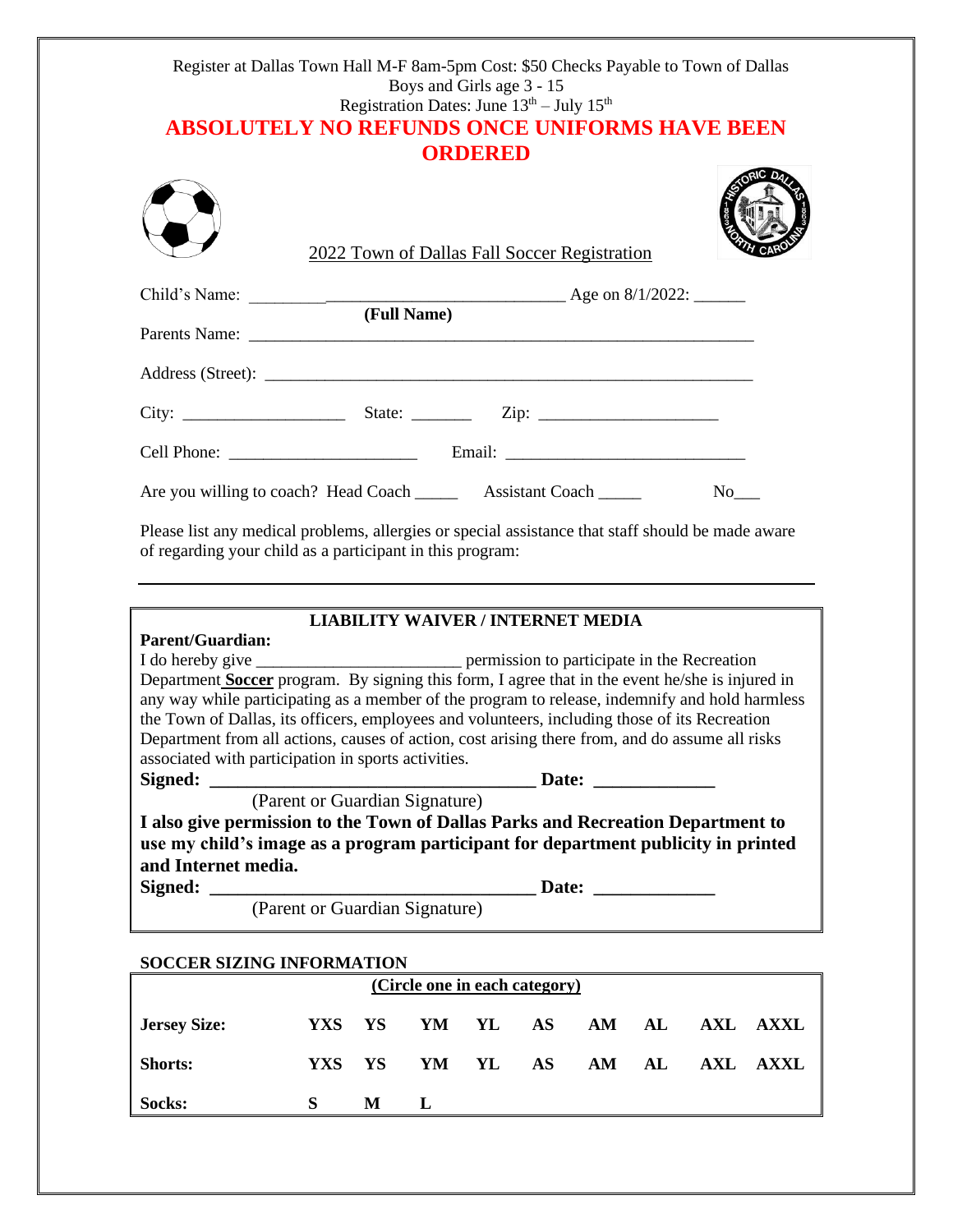### Register at Dallas Town Hall M-F 8am-5pm Cost: \$50 Checks Payable to Town of Dallas Boys and Girls age 3 - 15 Registration Dates: June  $13^{th}$  – July  $15^{th}$ **ABSOLUTELY NO REFUNDS ONCE UNIFORMS HAVE BEEN ORDERED**

| 2022 Town of Dallas Fall Soccer Registration                          | <b>Usile</b>         |
|-----------------------------------------------------------------------|----------------------|
| (Full Name)                                                           |                      |
|                                                                       |                      |
|                                                                       |                      |
|                                                                       |                      |
|                                                                       |                      |
| Are you willing to coach? Head Coach _________ Assistant Coach ______ | No the North Street. |

Please list any medical problems, allergies or special assistance that staff should be made aware of regarding your child as a participant in this program:

#### **LIABILITY WAIVER / INTERNET MEDIA**

| <b>Parent/Guardian:</b>                                                                         |                             |  |  |  |  |  |  |  |
|-------------------------------------------------------------------------------------------------|-----------------------------|--|--|--|--|--|--|--|
|                                                                                                 |                             |  |  |  |  |  |  |  |
| Department Soccer program. By signing this form, I agree that in the event he/she is injured in |                             |  |  |  |  |  |  |  |
| any way while participating as a member of the program to release, indemnify and hold harmless  |                             |  |  |  |  |  |  |  |
| the Town of Dallas, its officers, employees and volunteers, including those of its Recreation   |                             |  |  |  |  |  |  |  |
| Department from all actions, causes of action, cost arising there from, and do assume all risks |                             |  |  |  |  |  |  |  |
| associated with participation in sports activities.                                             |                             |  |  |  |  |  |  |  |
|                                                                                                 | Date:                       |  |  |  |  |  |  |  |
| (Parent or Guardian Signature)                                                                  |                             |  |  |  |  |  |  |  |
| I also give permission to the Town of Dallas Parks and Recreation Department to                 |                             |  |  |  |  |  |  |  |
| use my child's image as a program participant for department publicity in printed               |                             |  |  |  |  |  |  |  |
| and Internet media.                                                                             |                             |  |  |  |  |  |  |  |
|                                                                                                 | Date: <u>______________</u> |  |  |  |  |  |  |  |
| (Parent or Guardian Signature)                                                                  |                             |  |  |  |  |  |  |  |

# **SOCCER SIZING INFORMATION**

| (Circle one in each category) |        |                       |  |                |  |  |  |          |  |  |  |
|-------------------------------|--------|-----------------------|--|----------------|--|--|--|----------|--|--|--|
| <b>Jersey Size:</b>           |        | YXS YS YM YL AS AM AL |  |                |  |  |  | AXL AXXL |  |  |  |
| <b>Shorts:</b>                | YXS YS |                       |  | YM YL AS AM AL |  |  |  | AXL AXXL |  |  |  |
| Socks:                        |        | M                     |  |                |  |  |  |          |  |  |  |